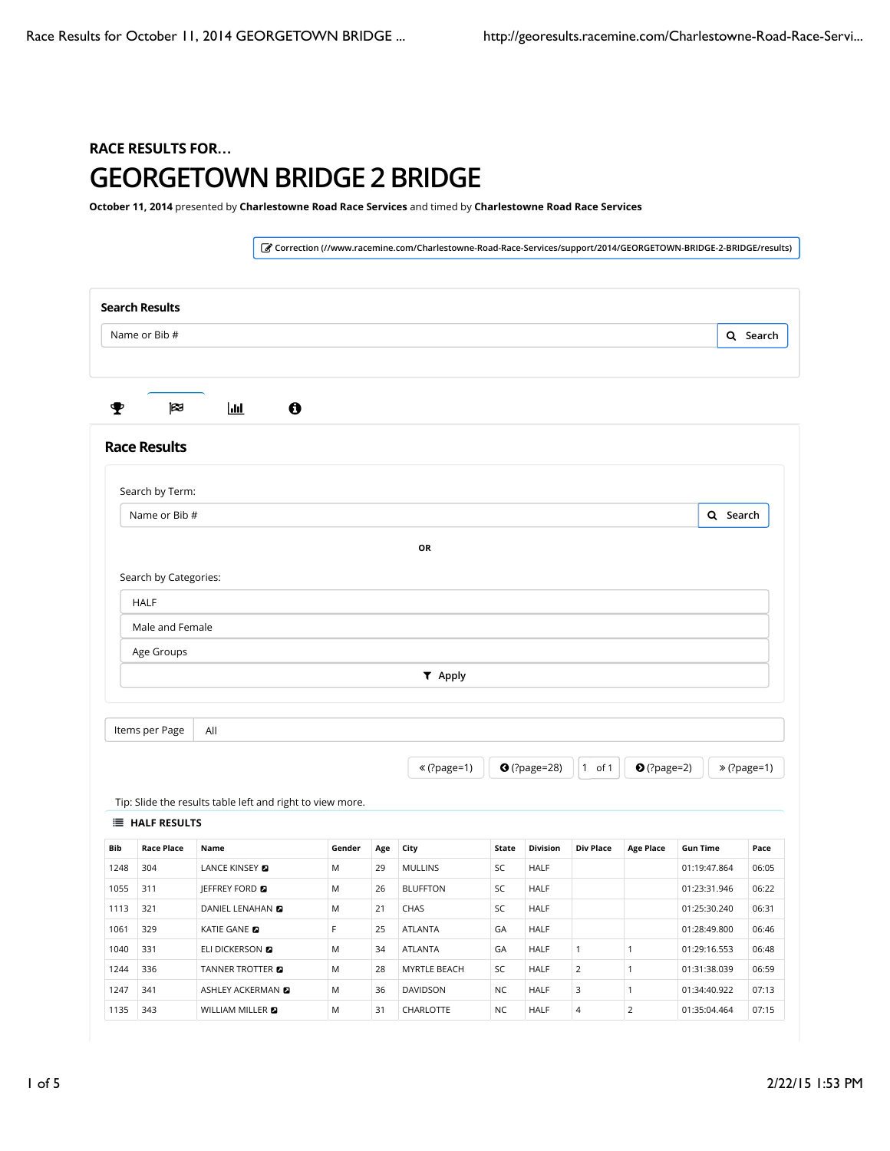## RACE RESULTS FOR**…** GEORGETOWN BRIDGE 2 BRIDGE

October 11, 2014 presented by Charlestowne Road Race Services and timed by Charlestowne Road Race Services

! Correction (//www.racemine.com/Charlestowne-Road-Race-Services/support/2014/GEORGETOWN-BRIDGE-2-BRIDGE/results) Search Results Q Search # \$ % & Race Results Tip: Slide the results table left and right to view more. **E** HALF RESULTS Bib Race Place Name Gender Age City State Division Div Place Age Place Gun Time Pace 1248 304 LANCE KINSEY ( M 29 MULLINS SC HALF 01:19:47.864 06:05 1055 311 JEFFREY FORD M 26 BLUFFTON SC HALF 01:23:31.946 06:22 1113 321 DANIEL LENAHAN ( M 21 CHAS SC HALF 01:25:30.240 06:31 1061 329 KATIE GANE 12 | F 25 ATLANTA | GA | HALF | | 01:28:49.800 | 06:46 1040 331 ELI DICKERSON **8** M 34 ATLANTA GA HALF 1 1 01:29:16.553 06:48 1244 336 TANNER TROTTER **a** M 28 MYRTLE BEACH SC HALF 2 1 01:31:38.039 06:59 1247 341 ASHLEY ACKERMAN **2** M 36 DAVIDSON NC HALF 3 1 01:34:40.922 07:13 1135 343 WILLIAM MILLER **D** M 31 CHARLOTTE NC HALF 4 2 01:35:04.464 07:15 Search by Term: Q Search OR Search by Categories: HALF Male and Female Age Groups ) Apply Items per Page  $\mathcal{L}$  (?page=1)  $\mathcal{L}$  (?page=28)  $\mathcal{L}$  of 1  $\mathcal{L}$  (?page=2)  $\mathcal{L}$   $\mathcal{L}$  (?page=1) Name or Bib # Name or Bib # All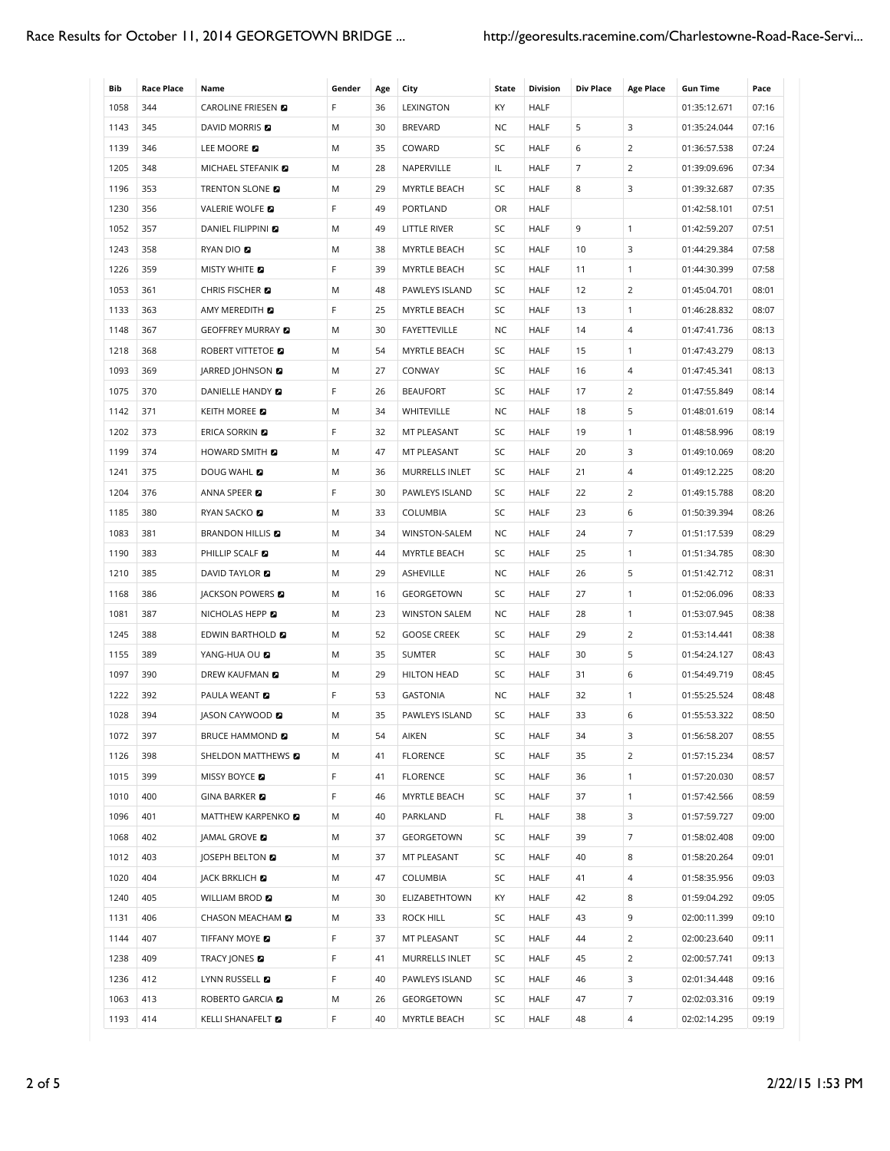| Bib  | <b>Race Place</b> | Name                       | Gender | Age | City                 | State     | <b>Division</b> | <b>Div Place</b> | <b>Age Place</b> | <b>Gun Time</b> | Pace  |
|------|-------------------|----------------------------|--------|-----|----------------------|-----------|-----------------|------------------|------------------|-----------------|-------|
| 1058 | 344               | CAROLINE FRIESEN <b>D</b>  | F      | 36  | LEXINGTON            | KY        | <b>HALF</b>     |                  |                  | 01:35:12.671    | 07:16 |
| 1143 | 345               | <b>DAVID MORRIS</b>        | M      | 30  | <b>BREVARD</b>       | <b>NC</b> | <b>HALF</b>     | 5                | 3                | 01:35:24.044    | 07:16 |
| 1139 | 346               | LEE MOORE                  | M      | 35  | COWARD               | SC        | <b>HALF</b>     | 6                | 2                | 01:36:57.538    | 07:24 |
| 1205 | 348               | MICHAEL STEFANIK           | M      | 28  | NAPERVILLE           | IL        | <b>HALF</b>     | $\overline{7}$   | $\overline{2}$   | 01:39:09.696    | 07:34 |
| 1196 | 353               | TRENTON SLONE <b>D</b>     | M      | 29  | MYRTLE BEACH         | SC        | <b>HALF</b>     | 8                | 3                | 01:39:32.687    | 07:35 |
| 1230 | 356               | VALERIE WOLFE              | F      | 49  | PORTLAND             | OR        | <b>HALF</b>     |                  |                  | 01:42:58.101    | 07:51 |
| 1052 | 357               | <b>DANIEL FILIPPINI</b>    | M      | 49  | LITTLE RIVER         | SC        | <b>HALF</b>     | 9                | $\mathbf{1}$     | 01:42:59.207    | 07:51 |
| 1243 | 358               | RYAN DIO                   | M      | 38  | MYRTLE BEACH         | SC        | <b>HALF</b>     | 10               | 3                | 01:44:29.384    | 07:58 |
| 1226 | 359               | <b>MISTY WHITE</b>         | F      | 39  | MYRTLE BEACH         | SC        | <b>HALF</b>     | 11               | $\mathbf{1}$     | 01:44:30.399    | 07:58 |
| 1053 | 361               | CHRIS FISCHER <b>D</b>     | M      | 48  | PAWLEYS ISLAND       | SC        | <b>HALF</b>     | 12               | 2                | 01:45:04.701    | 08:01 |
| 1133 | 363               | AMY MEREDITH <b>D</b>      | F      | 25  | MYRTLE BEACH         | SC        | <b>HALF</b>     | 13               | $\mathbf{1}$     | 01:46:28.832    | 08:07 |
| 1148 | 367               | GEOFFREY MURRAY <b>D</b>   | M      | 30  | FAYETTEVILLE         | NC        | <b>HALF</b>     | 14               | 4                | 01:47:41.736    | 08:13 |
| 1218 | 368               | ROBERT VITTETOE <b>D</b>   | M      | 54  | MYRTLE BEACH         | SC        | <b>HALF</b>     | 15               | $\mathbf{1}$     | 01:47:43.279    | 08:13 |
| 1093 | 369               | <b>JARRED JOHNSON</b>      | M      | 27  | CONWAY               | SC        | <b>HALF</b>     | 16               | $\overline{4}$   | 01:47:45.341    | 08:13 |
| 1075 | 370               | DANIELLE HANDY             | F      | 26  | <b>BEAUFORT</b>      | SC        | <b>HALF</b>     | 17               | $\overline{2}$   | 01:47:55.849    | 08:14 |
| 1142 | 371               | <b>KEITH MOREE</b>         | M      | 34  | WHITEVILLE           | NC.       | <b>HALF</b>     | 18               | 5                | 01:48:01.619    | 08:14 |
| 1202 | 373               | <b>ERICA SORKIN E</b>      | F      | 32  | MT PLEASANT          | SC        | <b>HALF</b>     | 19               | $\mathbf{1}$     | 01:48:58.996    | 08:19 |
| 1199 | 374               | <b>HOWARD SMITH EX</b>     | M      | 47  | MT PLEASANT          | SC        | <b>HALF</b>     | 20               | 3                | 01:49:10.069    | 08:20 |
| 1241 | 375               | DOUG WAHL <b>D</b>         | M      | 36  | MURRELLS INLET       | SC        | HALF            | 21               | 4                | 01:49:12.225    | 08:20 |
| 1204 | 376               | ANNA SPEER <b>D</b>        | F      | 30  | PAWLEYS ISLAND       | SC        | HALF            | 22               | 2                | 01:49:15.788    | 08:20 |
| 1185 | 380               | RYAN SACKO <b>D</b>        | M      | 33  | COLUMBIA             | SC        | <b>HALF</b>     | 23               | 6                | 01:50:39.394    | 08:26 |
| 1083 | 381               | <b>BRANDON HILLIS</b>      | M      | 34  | WINSTON-SALEM        | NC        | <b>HALF</b>     | 24               | 7                | 01:51:17.539    | 08:29 |
| 1190 | 383               | PHILLIP SCALF              | M      | 44  | MYRTLE BEACH         | SC        | <b>HALF</b>     | 25               | $\mathbf{1}$     | 01:51:34.785    | 08:30 |
| 1210 | 385               | DAVID TAYLOR <b>D</b>      | M      | 29  | ASHEVILLE            | NC        | <b>HALF</b>     | 26               | 5                | 01:51:42.712    | 08:31 |
| 1168 | 386               | JACKSON POWERS <b>D</b>    | M      | 16  | GEORGETOWN           | SC        | <b>HALF</b>     | 27               | $\mathbf{1}$     | 01:52:06.096    | 08:33 |
| 1081 | 387               | NICHOLAS HEPP <b>D</b>     | M      | 23  | <b>WINSTON SALEM</b> | <b>NC</b> | HALF            | 28               | $\mathbf{1}$     | 01:53:07.945    | 08:38 |
| 1245 | 388               | EDWIN BARTHOLD <b>D</b>    | M      | 52  | <b>GOOSE CREEK</b>   | SC        | HALF            | 29               | $\overline{2}$   | 01:53:14.441    | 08:38 |
| 1155 | 389               | YANG-HUA OU <b>D</b>       | M      | 35  | <b>SUMTER</b>        | SC        | <b>HALF</b>     | 30               | 5                | 01:54:24.127    | 08:43 |
| 1097 | 390               | <b>DREW KAUFMAN</b>        | M      | 29  | <b>HILTON HEAD</b>   | SC        | <b>HALF</b>     | 31               | 6                | 01:54:49.719    | 08:45 |
| 1222 | 392               | <b>PAULA WEANT</b>         | F      | 53  | <b>GASTONIA</b>      | NC.       | <b>HALF</b>     | 32               | $\mathbf{1}$     | 01:55:25.524    | 08:48 |
| 1028 | 394               | <b>JASON CAYWOOD</b>       | M      | 35  | PAWLEYS ISLAND       | SC        | <b>HALF</b>     | 33               | 6                | 01:55:53.322    | 08:50 |
| 1072 | 397               | <b>BRUCE HAMMOND &amp;</b> | M      | 54  | AIKEN                | SC        | <b>HALF</b>     | 34               | 3                | 01:56:58.207    | 08:55 |
| 1126 | 398               | SHELDON MATTHEWS 2         | M      | 41  | <b>FLORENCE</b>      | SC        | <b>HALF</b>     | 35               | $\overline{2}$   | 01:57:15.234    | 08:57 |
| 1015 | 399               | <b>MISSY BOYCE</b>         | F      | 41  | <b>FLORENCE</b>      | SC        | <b>HALF</b>     | 36               | $\mathbf{1}$     | 01:57:20.030    | 08:57 |
| 1010 | 400               | <b>GINA BARKER</b>         | F      | 46  | MYRTLE BEACH         | SC        | <b>HALF</b>     | 37               | $\mathbf{1}$     | 01:57:42.566    | 08:59 |
| 1096 | 401               | MATTHEW KARPENKO <b>D</b>  | M      | 40  | PARKLAND             | FL.       | <b>HALF</b>     | 38               | 3                | 01:57:59.727    | 09:00 |
| 1068 | 402               | <b>JAMAL GROVE &amp;</b>   | M      | 37  | GEORGETOWN           | SC        | <b>HALF</b>     | 39               | $\overline{7}$   | 01:58:02.408    | 09:00 |
| 1012 | 403               | <b>JOSEPH BELTON &amp;</b> | M      | 37  | MT PLEASANT          | SC        | <b>HALF</b>     | 40               | 8                | 01:58:20.264    | 09:01 |
| 1020 | 404               | JACK BRKLICH <b>D</b>      | M      | 47  | COLUMBIA             | SC        | <b>HALF</b>     | 41               | 4                | 01:58:35.956    | 09:03 |
| 1240 | 405               | WILLIAM BROD <b>D</b>      | M      | 30  | ELIZABETHTOWN        | KY        | <b>HALF</b>     | 42               | 8                | 01:59:04.292    | 09:05 |
| 1131 | 406               | CHASON MEACHAM <b>D</b>    | M      | 33  | ROCK HILL            | SC        | HALF            | 43               | 9                | 02:00:11.399    | 09:10 |
| 1144 | 407               | TIFFANY MOYE <b>D</b>      | F      | 37  | MT PLEASANT          | SC        | HALF            | 44               | $\overline{2}$   | 02:00:23.640    | 09:11 |
| 1238 | 409               | TRACY JONES <b>D</b>       | F      | 41  | MURRELLS INLET       | SC        | <b>HALF</b>     | 45               | $\overline{2}$   | 02:00:57.741    | 09:13 |
| 1236 | 412               | LYNN RUSSELL <b>D</b>      | F      | 40  | PAWLEYS ISLAND       | SC        | HALF            | 46               | 3                | 02:01:34.448    | 09:16 |
| 1063 | 413               | ROBERTO GARCIA <b>D</b>    | Μ      | 26  | GEORGETOWN           | SC        | HALF            | 47               | 7                | 02:02:03.316    | 09:19 |
| 1193 | 414               | KELLI SHANAFELT <b>D</b>   | F      | 40  | MYRTLE BEACH         | SC        | <b>HALF</b>     | 48               | 4                | 02:02:14.295    | 09:19 |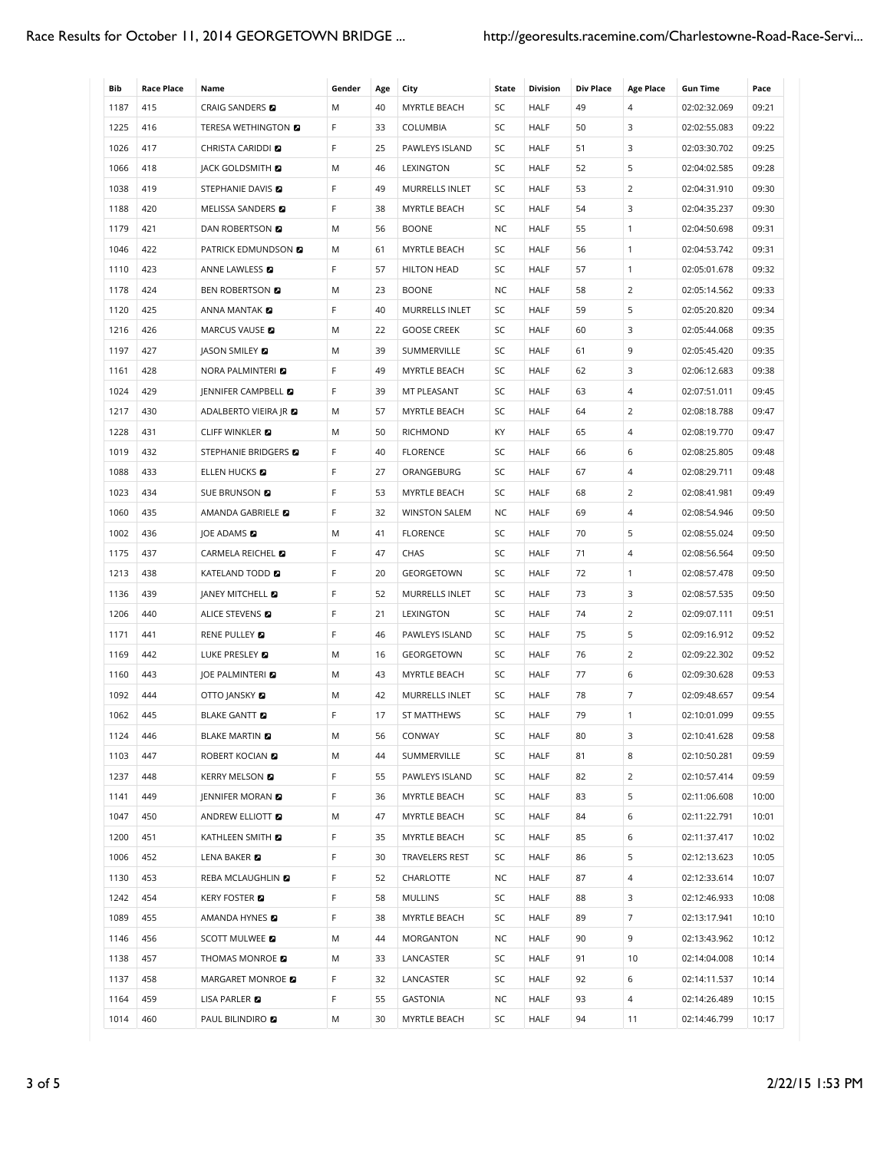| Bib  |                          |                                | Gender |           |                       |             |                         | <b>Div Place</b> |                       |                                 |               |
|------|--------------------------|--------------------------------|--------|-----------|-----------------------|-------------|-------------------------|------------------|-----------------------|---------------------------------|---------------|
| 1187 | <b>Race Place</b><br>415 | Name<br>CRAIG SANDERS <b>D</b> | M      | Age<br>40 | City<br>MYRTLE BEACH  | State<br>SC | <b>Division</b><br>HALF | 49               | <b>Age Place</b><br>4 | <b>Gun Time</b><br>02:02:32.069 | Pace<br>09:21 |
| 1225 | 416                      | <b>TERESA WETHINGTON EX</b>    | F      | 33        | <b>COLUMBIA</b>       | SC          | HALF                    | 50               | 3                     |                                 | 09:22         |
| 1026 | 417                      | CHRISTA CARIDDI <b>D</b>       | F      | 25        | PAWLEYS ISLAND        | SC          | <b>HALF</b>             | 51               | 3                     | 02:02:55.083<br>02:03:30.702    | 09:25         |
| 1066 | 418                      | <b>JACK GOLDSMITH &amp;</b>    | M      |           |                       | SC          |                         |                  | 5                     |                                 | 09:28         |
|      |                          |                                |        | 46        | LEXINGTON             |             | HALF                    | 52               |                       | 02:04:02.585                    |               |
| 1038 | 419                      | STEPHANIE DAVIS <b>D</b>       | F      | 49        | MURRELLS INLET        | SC          | <b>HALF</b>             | 53               | 2                     | 02:04:31.910                    | 09:30         |
| 1188 | 420                      | <b>MELISSA SANDERS</b>         | F      | 38        | MYRTLE BEACH          | SC          | <b>HALF</b>             | 54               | 3                     | 02:04:35.237                    | 09:30         |
| 1179 | 421                      | DAN ROBERTSON <b>D</b>         | M      | 56        | <b>BOONE</b>          | NC          | <b>HALF</b>             | 55               | $\mathbf{1}$          | 02:04:50.698                    | 09:31         |
| 1046 | 422                      | PATRICK EDMUNDSON <b>D</b>     | M      | 61        | MYRTLE BEACH          | SC          | <b>HALF</b>             | 56               | $\mathbf{1}$          | 02:04:53.742                    | 09:31         |
| 1110 | 423                      | ANNE LAWLESS <b>E</b>          | F      | 57        | <b>HILTON HEAD</b>    | SC          | <b>HALF</b>             | 57               | $\mathbf{1}$          | 02:05:01.678                    | 09:32         |
| 1178 | 424                      | <b>BEN ROBERTSON D</b>         | M      | 23        | <b>BOONE</b>          | NC          | <b>HALF</b>             | 58               | 2                     | 02:05:14.562                    | 09:33         |
| 1120 | 425                      | ANNA MANTAK <b>D</b>           | F      | 40        | MURRELLS INLET        | SC          | <b>HALF</b>             | 59               | 5                     | 02:05:20.820                    | 09:34         |
| 1216 | 426                      | MARCUS VAUSE <b>D</b>          | M      | 22        | <b>GOOSE CREEK</b>    | SC          | <b>HALF</b>             | 60               | 3                     | 02:05:44.068                    | 09:35         |
| 1197 | 427                      | <b>JASON SMILEY</b>            | M      | 39        | SUMMERVILLE           | SC          | <b>HALF</b>             | 61               | 9                     | 02:05:45.420                    | 09:35         |
| 1161 | 428                      | <b>NORA PALMINTERI</b>         | F      | 49        | MYRTLE BEACH          | SC          | <b>HALF</b>             | 62               | 3                     | 02:06:12.683                    | 09:38         |
| 1024 | 429                      | JENNIFER CAMPBELL <b>D</b>     | F      | 39        | MT PLEASANT           | SC          | <b>HALF</b>             | 63               | $\overline{4}$        | 02:07:51.011                    | 09:45         |
| 1217 | 430                      | ADALBERTO VIEIRA JR <b>D</b>   | M      | 57        | MYRTLE BEACH          | SC          | <b>HALF</b>             | 64               | 2                     | 02:08:18.788                    | 09:47         |
| 1228 | 431                      | <b>CLIFF WINKLER</b>           | M      | 50        | <b>RICHMOND</b>       | KY.         | <b>HALF</b>             | 65               | $\overline{4}$        | 02:08:19.770                    | 09:47         |
| 1019 | 432                      | STEPHANIE BRIDGERS E           | F      | 40        | <b>FLORENCE</b>       | SC          | <b>HALF</b>             | 66               | 6                     | 02:08:25.805                    | 09:48         |
| 1088 | 433                      | ELLEN HUCKS <b>E</b>           | F      | 27        | ORANGEBURG            | SC          | <b>HALF</b>             | 67               | 4                     | 02:08:29.711                    | 09:48         |
| 1023 | 434                      | SUE BRUNSON <b>D</b>           | F      | 53        | MYRTLE BEACH          | SC          | <b>HALF</b>             | 68               | 2                     | 02:08:41.981                    | 09:49         |
| 1060 | 435                      | AMANDA GABRIELE <b>D</b>       | F      | 32        | <b>WINSTON SALEM</b>  | NC          | HALF                    | 69               | $\overline{4}$        | 02:08:54.946                    | 09:50         |
| 1002 | 436                      | JOE ADAMS <b>D</b>             | Μ      | 41        | <b>FLORENCE</b>       | SC          | <b>HALF</b>             | 70               | 5                     | 02:08:55.024                    | 09:50         |
| 1175 | 437                      | CARMELA REICHEL <b>D</b>       | F      | 47        | CHAS                  | SC          | <b>HALF</b>             | 71               | $\overline{4}$        | 02:08:56.564                    | 09:50         |
| 1213 | 438                      | KATELAND TODD <b>D</b>         | F      | 20        | GEORGETOWN            | SC          | HALF                    | 72               | $\mathbf{1}$          | 02:08:57.478                    | 09:50         |
| 1136 | 439                      | JANEY MITCHELL <b>D</b>        | F      | 52        | MURRELLS INLET        | SC          | HALF                    | 73               | 3                     | 02:08:57.535                    | 09:50         |
| 1206 | 440                      | ALICE STEVENS <b>D</b>         | F      | 21        | LEXINGTON             | SC          | <b>HALF</b>             | 74               | 2                     | 02:09:07.111                    | 09:51         |
| 1171 | 441                      | RENE PULLEY <b>D</b>           | F      | 46        | PAWLEYS ISLAND        | SC          | <b>HALF</b>             | 75               | 5                     | 02:09:16.912                    | 09:52         |
| 1169 | 442                      | LUKE PRESLEY <b>D</b>          | M      | 16        | GEORGETOWN            | SC          | <b>HALF</b>             | 76               | $\overline{2}$        | 02:09:22.302                    | 09:52         |
| 1160 | 443                      | JOE PALMINTERI                 | M      | 43        | <b>MYRTLE BEACH</b>   | SC          | <b>HALF</b>             | 77               | 6                     | 02:09:30.628                    | 09:53         |
| 1092 | 444                      | <b>OTTO JANSKY &amp;</b>       | M      | 42        | <b>MURRELLS INLET</b> | SC          | <b>HALF</b>             | 78               | $\overline{7}$        | 02:09:48.657                    | 09:54         |
| 1062 | 445                      | <b>BLAKE GANTT</b>             | F      | 17        | ST MATTHEWS           | SC          | <b>HALF</b>             | 79               | $\mathbf{1}$          | 02:10:01.099                    | 09:55         |
| 1124 | 446                      | <b>BLAKE MARTIN</b>            | М      | 56        | CONWAY                | SC          | <b>HALF</b>             | 80               | 3                     | 02:10:41.628                    | 09:58         |
| 1103 | 447                      | ROBERT KOCIAN <b>E</b>         | Μ      | 44        | SUMMERVILLE           | SC          | HALF                    | 81               | 8                     | 02:10:50.281                    | 09:59         |
| 1237 | 448                      | <b>KERRY MELSON &amp;</b>      | F      | 55        | PAWLEYS ISLAND        | SC          | <b>HALF</b>             | 82               | $\overline{2}$        | 02:10:57.414                    | 09:59         |
| 1141 | 449                      | JENNIFER MORAN <b>D</b>        | F      | 36        | MYRTLE BEACH          | SC          | <b>HALF</b>             | 83               | 5                     | 02:11:06.608                    | 10:00         |
| 1047 | 450                      | ANDREW ELLIOTT                 | Μ      | 47        | MYRTLE BEACH          | SC          | <b>HALF</b>             | 84               | 6                     | 02:11:22.791                    | 10:01         |
| 1200 | 451                      | KATHLEEN SMITH <b>D</b>        | F      | 35        | MYRTLE BEACH          | SC          | <b>HALF</b>             | 85               | 6                     | 02:11:37.417                    | 10:02         |
| 1006 | 452                      | LENA BAKER                     | F      | 30        | TRAVELERS REST        | SC          | HALF                    | 86               | 5                     | 02:12:13.623                    | 10:05         |
| 1130 | 453                      | REBA MCLAUGHLIND               | F      | 52        | CHARLOTTE             | NC          | HALF                    | 87               | $\overline{4}$        | 02:12:33.614                    | 10:07         |
| 1242 | 454                      | <b>KERY FOSTER &amp;</b>       | F      | 58        | <b>MULLINS</b>        | SC          | HALF                    | 88               | 3                     | 02:12:46.933                    | 10:08         |
| 1089 | 455                      | AMANDA HYNES <b>D</b>          | F      | 38        | MYRTLE BEACH          | SC          | HALF                    | 89               | 7                     | 02:13:17.941                    | 10:10         |
| 1146 | 456                      | <b>SCOTT MULWEE &amp;</b>      | Μ      | 44        | MORGANTON             | NC          | HALF                    | 90               | 9                     | 02:13:43.962                    | 10:12         |
| 1138 | 457                      | THOMAS MONROE <b>D</b>         | Μ      | 33        | LANCASTER             | SC          | HALF                    | 91               | 10                    | 02:14:04.008                    | 10:14         |
| 1137 | 458                      | MARGARET MONROE 2              | F      | 32        | LANCASTER             | SC          | HALF                    | 92               | 6                     | 02:14:11.537                    | 10:14         |
| 1164 | 459                      | LISA PARLER <b>D</b>           | F      | 55        | GASTONIA              | NC          | HALF                    | 93               | 4                     | 02:14:26.489                    | 10:15         |
|      |                          |                                |        |           |                       |             |                         |                  |                       |                                 |               |
| 1014 | 460                      | PAUL BILINDIRO <b>D</b>        | Μ      | 30        | MYRTLE BEACH          | SC          | HALF                    | 94               | 11                    | 02:14:46.799                    | 10:17         |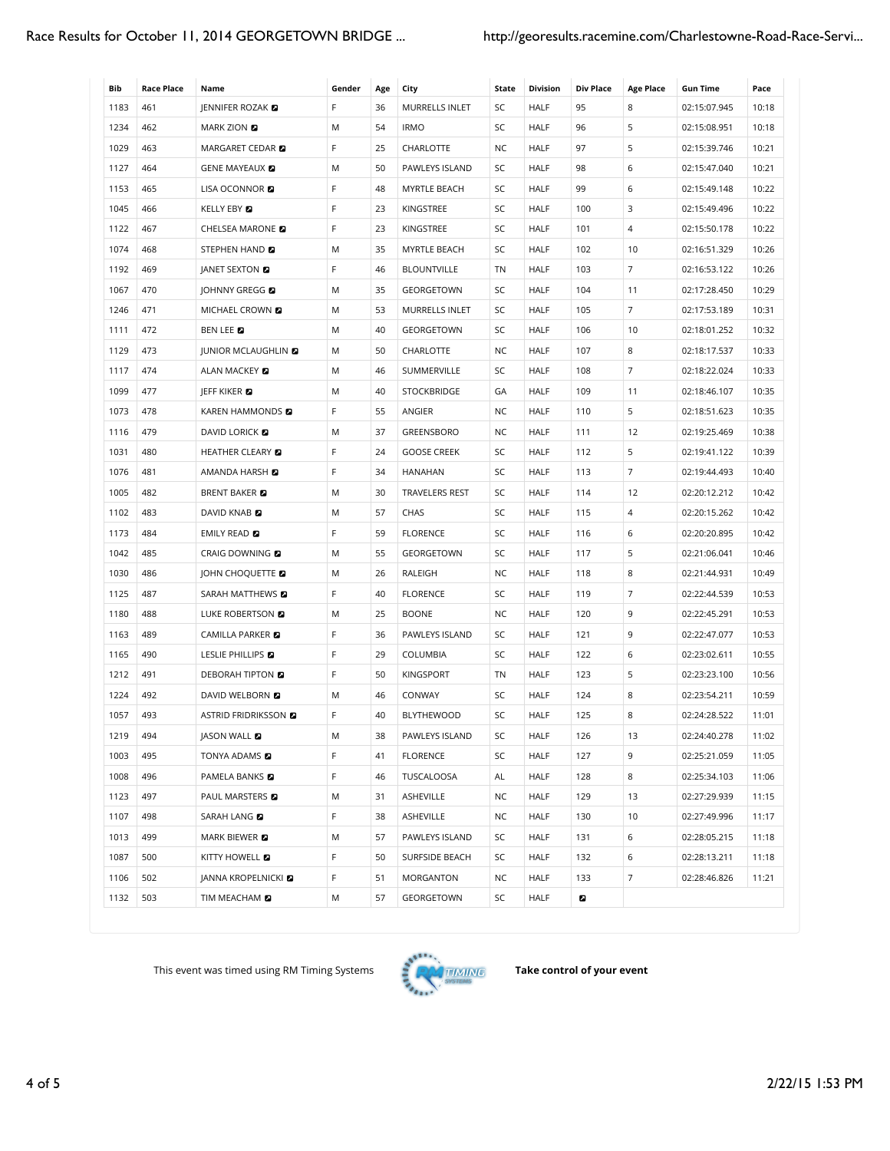| Bib  | Race Place | Name                        | Gender | Age | City                  | State     | <b>Division</b> | <b>Div Place</b> | <b>Age Place</b> | Gun Time     | Pace  |
|------|------------|-----------------------------|--------|-----|-----------------------|-----------|-----------------|------------------|------------------|--------------|-------|
| 1183 | 461        | JENNIFER ROZAK <b>D</b>     | F      | 36  | MURRELLS INLET        | SC        | <b>HALF</b>     | 95               | 8                | 02:15:07.945 | 10:18 |
| 1234 | 462        | <b>MARK ZION EX</b>         | Μ      | 54  | <b>IRMO</b>           | SC        | <b>HALF</b>     | 96               | 5                | 02:15:08.951 | 10:18 |
| 1029 | 463        | MARGARET CEDAR 2            | F      | 25  | CHARLOTTE             | NC        | <b>HALF</b>     | 97               | 5                | 02:15:39.746 | 10:21 |
| 1127 | 464        | <b>GENE MAYEAUX &amp;</b>   | M      | 50  | PAWLEYS ISLAND        | SC        | <b>HALF</b>     | 98               | 6                | 02:15:47.040 | 10:21 |
| 1153 | 465        | LISA OCONNOR <b>D</b>       | F      | 48  | MYRTLE BEACH          | SC        | <b>HALF</b>     | 99               | 6                | 02:15:49.148 | 10:22 |
| 1045 | 466        | KELLY EBY <b>D</b>          | F      | 23  | KINGSTREE             | SC        | <b>HALF</b>     | 100              | 3                | 02:15:49.496 | 10:22 |
| 1122 | 467        | CHELSEA MARONE              | F      | 23  | KINGSTREE             | SC        | <b>HALF</b>     | 101              | $\overline{4}$   | 02:15:50.178 | 10:22 |
| 1074 | 468        | STEPHEN HAND                | Μ      | 35  | MYRTLE BEACH          | SC        | HALF            | 102              | 10               | 02:16:51.329 | 10:26 |
| 1192 | 469        | JANET SEXTON <b>D</b>       | F      | 46  | <b>BLOUNTVILLE</b>    | TN        | HALF            | 103              | 7                | 02:16:53.122 | 10:26 |
| 1067 | 470        | JOHNNY GREGG <b>D</b>       | М      | 35  | GEORGETOWN            | SC        | <b>HALF</b>     | 104              | 11               | 02:17:28.450 | 10:29 |
| 1246 | 471        | MICHAEL CROWN <b>D</b>      | Μ      | 53  | MURRELLS INLET        | SC        | HALF            | 105              | 7                | 02:17:53.189 | 10:31 |
| 1111 | 472        | BEN LEE <b>D</b>            | M      | 40  | GEORGETOWN            | SC        | <b>HALF</b>     | 106              | 10               | 02:18:01.252 | 10:32 |
| 1129 | 473        | JUNIOR MCLAUGHLIN <b>D</b>  | M      | 50  | CHARLOTTE             | NC        | <b>HALF</b>     | 107              | 8                | 02:18:17.537 | 10:33 |
| 1117 | 474        | ALAN MACKEY 2               | Μ      | 46  | SUMMERVILLE           | SC        | HALF            | 108              | 7                | 02:18:22.024 | 10:33 |
| 1099 | 477        | JEFF KIKER <b>E</b>         | M      | 40  | <b>STOCKBRIDGE</b>    | GA        | <b>HALF</b>     | 109              | 11               | 02:18:46.107 | 10:35 |
| 1073 | 478        | KAREN HAMMONDS <b>E</b>     | F      | 55  | ANGIER                | NC        | HALF            | 110              | 5                | 02:18:51.623 | 10:35 |
| 1116 | 479        | <b>DAVID LORICK &amp;</b>   | M      | 37  | <b>GREENSBORO</b>     | NC        | <b>HALF</b>     | 111              | 12               | 02:19:25.469 | 10:38 |
| 1031 | 480        | HEATHER CLEARY <b>D</b>     | F      | 24  | <b>GOOSE CREEK</b>    | SC        | <b>HALF</b>     | 112              | 5                | 02:19:41.122 | 10:39 |
| 1076 | 481        | AMANDA HARSH <sub>R</sub>   | F      | 34  | HANAHAN               | SC        | <b>HALF</b>     | 113              | $\overline{7}$   | 02:19:44.493 | 10:40 |
| 1005 | 482        | <b>BRENT BAKER</b>          | M      | 30  | <b>TRAVELERS REST</b> | SC        | <b>HALF</b>     | 114              | 12               | 02:20:12.212 | 10:42 |
| 1102 | 483        | DAVID KNAB                  | M      | 57  | CHAS                  | SC        | <b>HALF</b>     | 115              | $\sqrt{4}$       | 02:20:15.262 | 10:42 |
| 1173 | 484        | EMILY READ <b>D</b>         | F      | 59  | <b>FLORENCE</b>       | SC        | <b>HALF</b>     | 116              | 6                | 02:20:20.895 | 10:42 |
| 1042 | 485        | CRAIG DOWNING <b>D</b>      | M      | 55  | GEORGETOWN            | SC        | <b>HALF</b>     | 117              | 5                | 02:21:06.041 | 10:46 |
| 1030 | 486        | JOHN CHOQUETTE              | M      | 26  | RALEIGH               | <b>NC</b> | <b>HALF</b>     | 118              | 8                | 02:21:44.931 | 10:49 |
| 1125 | 487        | SARAH MATTHEWS <b>D</b>     | F      | 40  | <b>FLORENCE</b>       | SC        | <b>HALF</b>     | 119              | $\overline{7}$   | 02:22:44.539 | 10:53 |
| 1180 | 488        | LUKE ROBERTSON <b>D</b>     | Μ      | 25  | <b>BOONE</b>          | NC        | <b>HALF</b>     | 120              | 9                | 02:22:45.291 | 10:53 |
| 1163 | 489        | CAMILLA PARKER <b>D</b>     | F      | 36  | PAWLEYS ISLAND        | SC        | <b>HALF</b>     | 121              | 9                | 02:22:47.077 | 10:53 |
| 1165 | 490        | LESLIE PHILLIPS <b>D</b>    | F      | 29  | COLUMBIA              | SC        | <b>HALF</b>     | 122              | 6                | 02:23:02.611 | 10:55 |
| 1212 | 491        | <b>DEBORAH TIPTON E</b>     | F      | 50  | <b>KINGSPORT</b>      | TN        | <b>HALF</b>     | 123              | 5                | 02:23:23.100 | 10:56 |
| 1224 | 492        | <b>DAVID WELBORN EX</b>     | Μ      | 46  | CONWAY                | SC        | <b>HALF</b>     | 124              | 8                | 02:23:54.211 | 10:59 |
| 1057 | 493        | ASTRID FRIDRIKSSON <b>D</b> | F      | 40  | <b>BLYTHEWOOD</b>     | SC        | <b>HALF</b>     | 125              | 8                | 02:24:28.522 | 11:01 |
| 1219 | 494        | JASON WALL <b>D</b>         | M      | 38  | PAWLEYS ISLAND        | SC        | HALF            | 126              | 13               | 02:24:40.278 | 11:02 |
| 1003 | 495        | TONYA ADAMS <b>D</b>        | F      | 41  | <b>FLORENCE</b>       | SC        | <b>HALF</b>     | 127              | 9                | 02:25:21.059 | 11:05 |
| 1008 | 496        | PAMELA BANKS <b>D</b>       | F.     | 46  | TUSCALOOSA            | AL        | HALF            | 128              | 8                | 02:25:34.103 | 11:06 |
| 1123 | 497        | PAUL MARSTERS <b>E</b>      | Μ      | 31  | ASHEVILLE             | ΝC        | <b>HALF</b>     | 129              | 13               | 02:27:29.939 | 11:15 |
| 1107 | 498        | SARAH LANG <b>D</b>         | F      | 38  | ASHEVILLE             | NC        | <b>HALF</b>     | 130              | 10               | 02:27:49.996 | 11:17 |
| 1013 | 499        | MARK BIEWER <b>D</b>        | M      | 57  | PAWLEYS ISLAND        | SC        | HALF            | 131              | 6                | 02:28:05.215 | 11:18 |
| 1087 | 500        | KITTY HOWELL <b>E</b>       | F.     | 50  | SURFSIDE BEACH        | SC        | <b>HALF</b>     | 132              | 6                | 02:28:13.211 | 11:18 |
| 1106 | 502        | <b>JANNA KROPELNICKI</b>    | F      | 51  | MORGANTON             | NC        | HALF            | 133              | $\overline{7}$   | 02:28:46.826 | 11:21 |
| 1132 | 503        | TIM MEACHAM <b>D</b>        | Μ      | 57  | GEORGETOWN            | SC        | HALF            | a                |                  |              |       |

This event was timed using RM Timing Systems  $\frac{1}{2}$  **PAN** TIMING Take control of your event